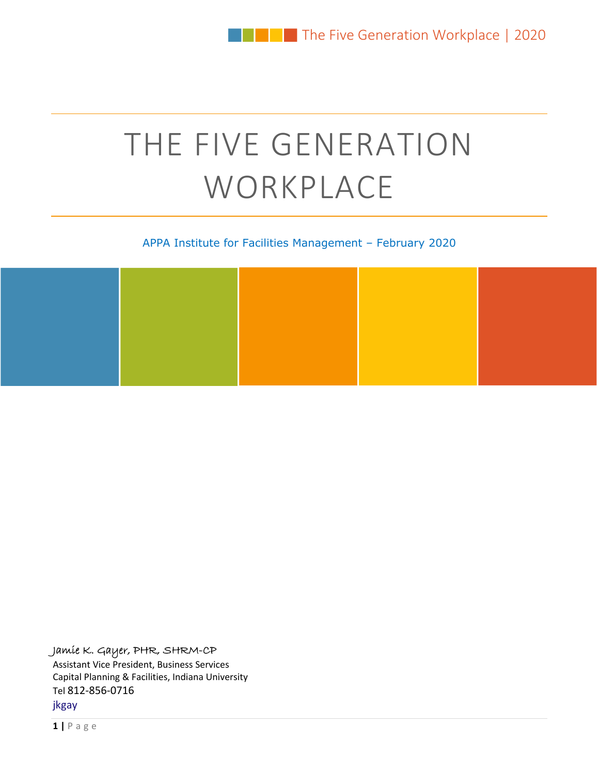# THE FIVE GENERATION WORKPLACE

#### APPA Institute for Facilities Management – February 2020

#### Jamie K. Gayer, PHR, SHRM-CP

Assistant Vice President, Business Services Capital Planning & Facilities, Indiana University Tel 812‐856‐0716 jkgay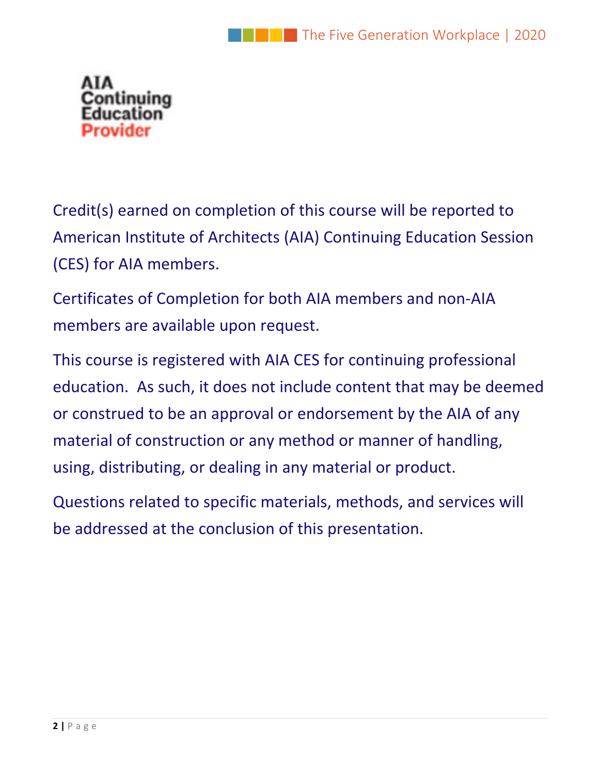

Credit(s) earned on completion of this course will be reported to American Institute of Architects (AIA) Continuing Education Session (CES) for AIA members.

Certificates of Completion for both AIA members and non‐AIA members are available upon request.

This course is registered with AIA CES for continuing professional education. As such, it does not include content that may be deemed or construed to be an approval or endorsement by the AIA of any material of construction or any method or manner of handling, using, distributing, or dealing in any material or product.

Questions related to specific materials, methods, and services will be addressed at the conclusion of this presentation.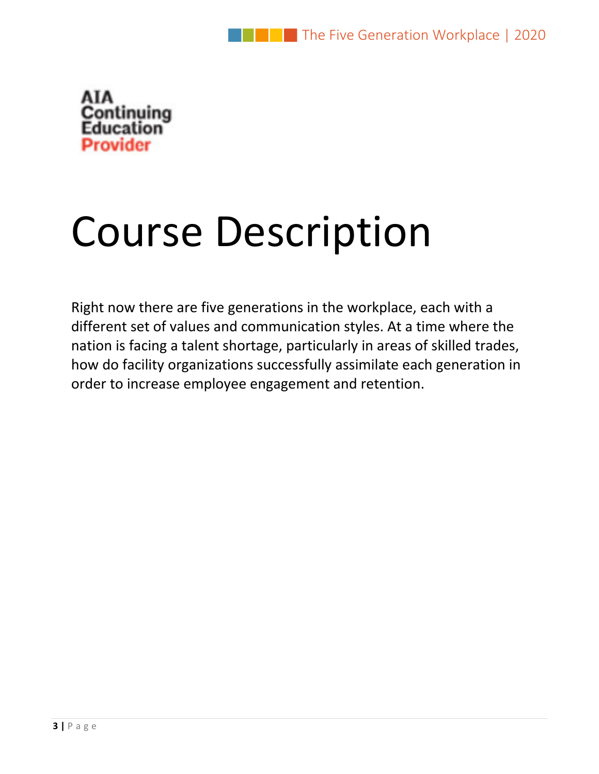

# Course Description

Right now there are five generations in the workplace, each with a different set of values and communication styles. At a time where the nation is facing a talent shortage, particularly in areas of skilled trades, how do facility organizations successfully assimilate each generation in order to increase employee engagement and retention.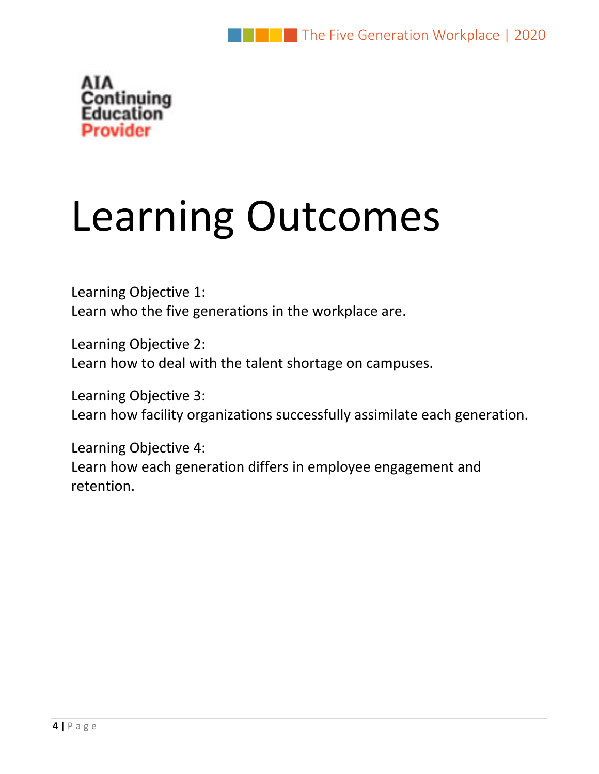

# Learning Outcomes

Learning Objective 1: Learn who the five generations in the workplace are.

Learning Objective 2: Learn how to deal with the talent shortage on campuses.

Learning Objective 3: Learn how facility organizations successfully assimilate each generation.

Learning Objective 4: Learn how each generation differs in employee engagement and retention.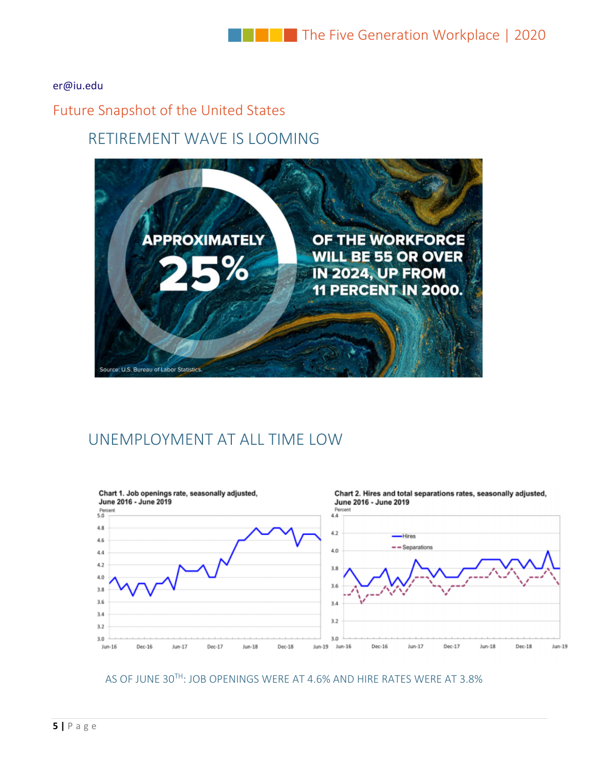#### er@iu.edu

### Future Snapshot of the United States

## RETIREMENT WAVE IS LOOMING



# UNEMPLOYMENT AT ALL TIME LOW



AS OF JUNE 30TH: JOB OPENINGS WERE AT 4.6% AND HIRE RATES WERE AT 3.8%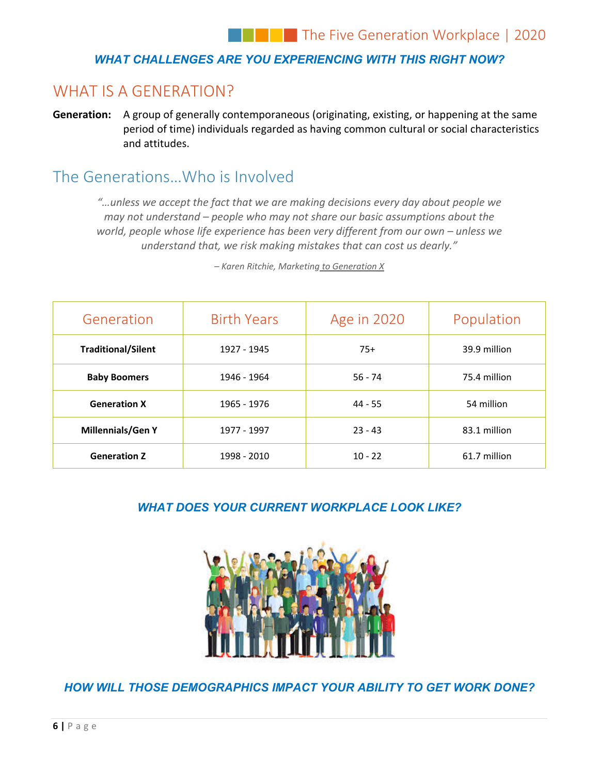#### *WHAT CHALLENGES ARE YOU EXPERIENCING WITH THIS RIGHT NOW?*

# WHAT IS A GENERATION?

**Generation:** A group of generally contemporaneous (originating, existing, or happening at the same period of time) individuals regarded as having common cultural or social characteristics and attitudes.

## The Generations…Who is Involved

*"…unless we accept the fact that we are making decisions every day about people we may not understand – people who may not share our basic assumptions about the world, people whose life experience has been very different from our own – unless we understand that, we risk making mistakes that can cost us dearly."*

| Generation                | <b>Birth Years</b> | Age in 2020 | Population   |
|---------------------------|--------------------|-------------|--------------|
| <b>Traditional/Silent</b> | 1927 - 1945        | $75+$       | 39.9 million |
| <b>Baby Boomers</b>       | 1946 - 1964        | $56 - 74$   | 75.4 million |
| <b>Generation X</b>       | 1965 - 1976        | $44 - 55$   | 54 million   |
| <b>Millennials/Gen Y</b>  | 1977 - 1997        | $23 - 43$   | 83.1 million |
| <b>Generation Z</b>       | 1998 - 2010        | $10 - 22$   | 61.7 million |

*– Karen Ritchie, Marketing to Generation X*

#### *WHAT DOES YOUR CURRENT WORKPLACE LOOK LIKE?*



*HOW WILL THOSE DEMOGRAPHICS IMPACT YOUR ABILITY TO GET WORK DONE?*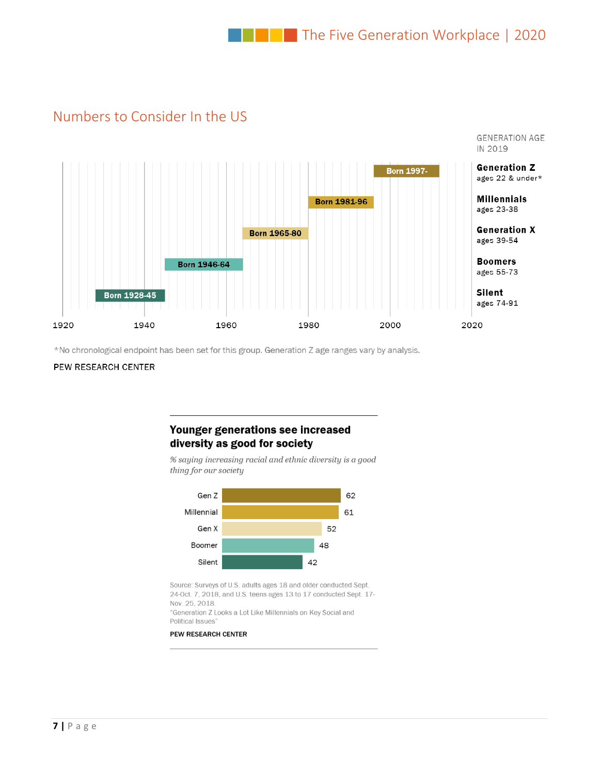## Numbers to Consider In the US



\*No chronological endpoint has been set for this group. Generation Z age ranges vary by analysis.

#### PEW RESEARCH CENTER

#### Younger generations see increased diversity as good for society

% saying increasing racial and ethnic diversity is a good thing for our society



Source: Surveys of U.S. adults ages 18 and older conducted Sept. 24-Oct. 7, 2018, and U.S. teens ages 13 to 17 conducted Sept. 17-Nov. 25, 2018.

"Generation Z Looks a Lot Like Millennials on Key Social and Political Issues"

#### PEW RESEARCH CENTER

 $\mathcal{L} = \mathcal{L} \left( \mathcal{L} \right)$  , where  $\mathcal{L} = \mathcal{L} \left( \mathcal{L} \right)$  , where  $\mathcal{L} = \mathcal{L} \left( \mathcal{L} \right)$  , where  $\mathcal{L} = \mathcal{L} \left( \mathcal{L} \right)$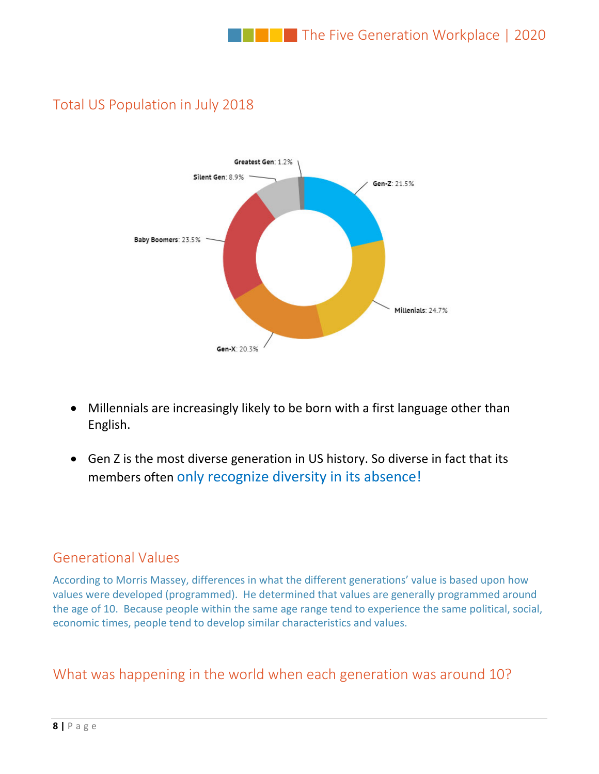

# Total US Population in July 2018

- Millennials are increasingly likely to be born with a first language other than English.
- Gen Z is the most diverse generation in US history. So diverse in fact that its members often only recognize diversity in its absence!

## Generational Values

According to Morris Massey, differences in what the different generations' value is based upon how values were developed (programmed). He determined that values are generally programmed around the age of 10. Because people within the same age range tend to experience the same political, social, economic times, people tend to develop similar characteristics and values.

# What was happening in the world when each generation was around 10?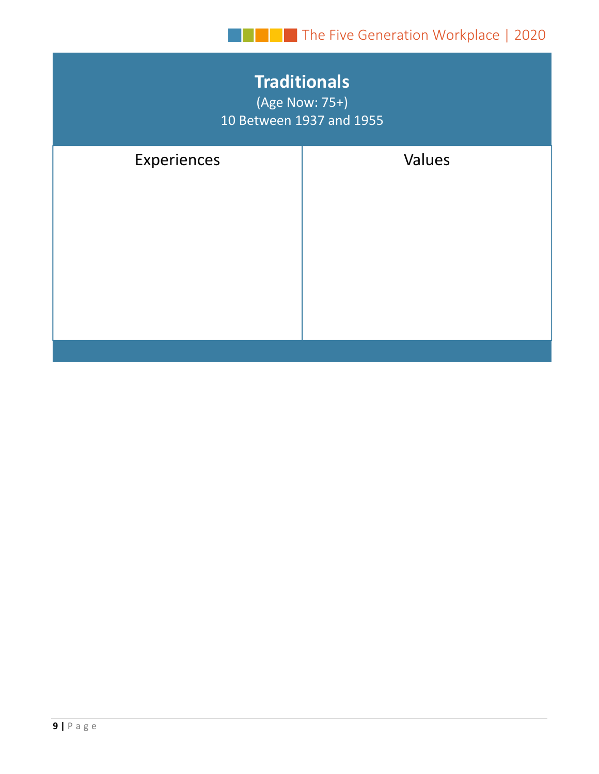| <b>Traditionals</b><br>(Age Now: 75+)<br>10 Between 1937 and 1955 |        |  |  |
|-------------------------------------------------------------------|--------|--|--|
| Experiences                                                       | Values |  |  |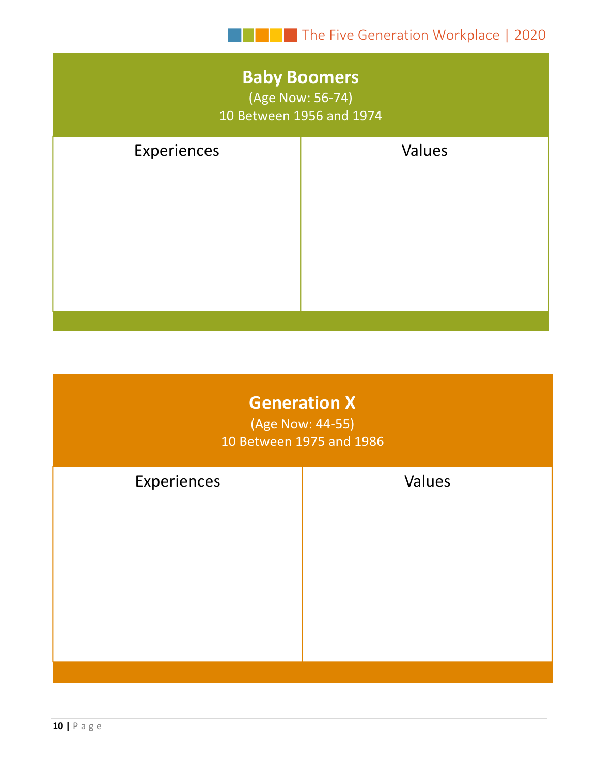# **Baby Boomers**

(Age Now: 56‐74) 10 Between 1956 and 1974

| Values |
|--------|
|        |
|        |
|        |
|        |
|        |

| <b>Generation X</b><br>(Age Now: 44-55)<br>10 Between 1975 and 1986 |        |  |  |
|---------------------------------------------------------------------|--------|--|--|
| Experiences                                                         | Values |  |  |
|                                                                     |        |  |  |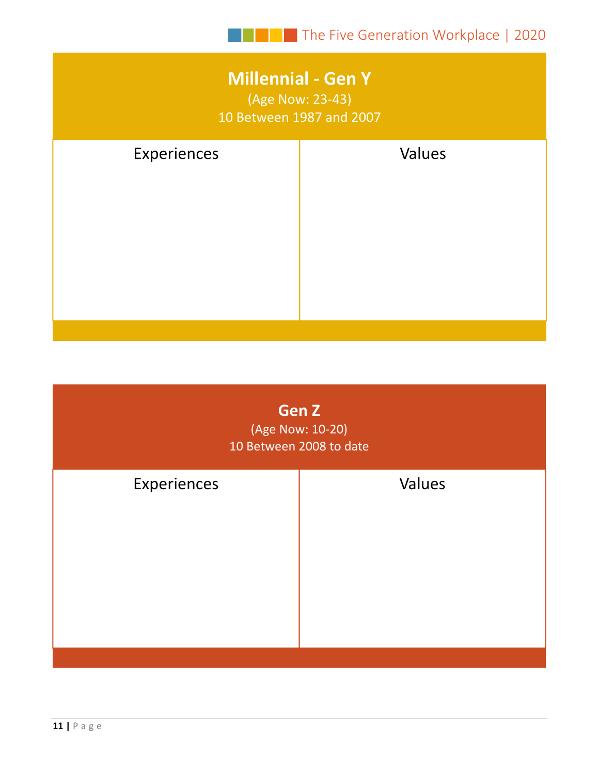# **Millennial ‐ Gen Y** (Age Now: 23‐43)

10 Between 1987 and 2007

| Experiences | Values |
|-------------|--------|
|             |        |
|             |        |
|             |        |
|             |        |
|             |        |

| Gen Z<br>(Age Now: 10-20)<br>10 Between 2008 to date |        |  |  |
|------------------------------------------------------|--------|--|--|
| Experiences                                          | Values |  |  |
|                                                      |        |  |  |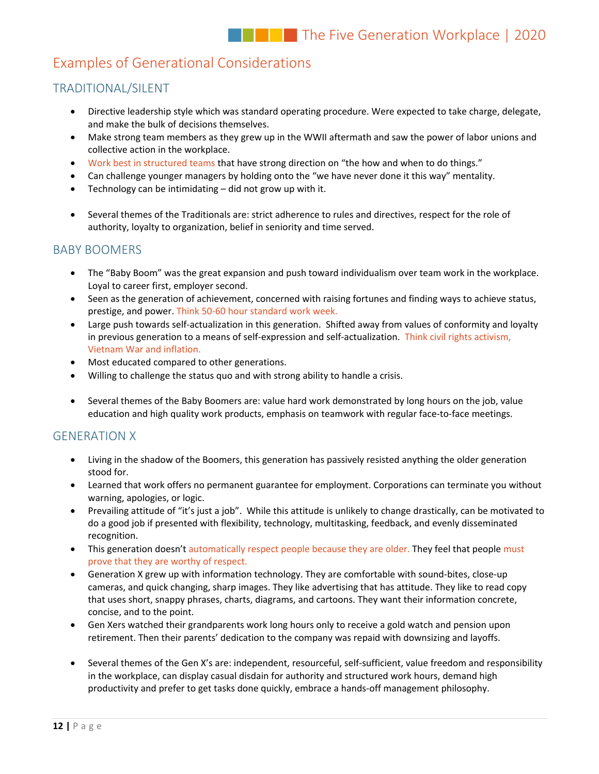### Examples of Generational Considerations

#### TRADITIONAL/SILENT

- Directive leadership style which was standard operating procedure. Were expected to take charge, delegate, and make the bulk of decisions themselves.
- Make strong team members as they grew up in the WWII aftermath and saw the power of labor unions and collective action in the workplace.
- Work best in structured teams that have strong direction on "the how and when to do things."
- Can challenge younger managers by holding onto the "we have never done it this way" mentality.
- Technology can be intimidating did not grow up with it.
- Several themes of the Traditionals are: strict adherence to rules and directives, respect for the role of authority, loyalty to organization, belief in seniority and time served.

#### BABY BOOMERS

- The "Baby Boom" was the great expansion and push toward individualism over team work in the workplace. Loyal to career first, employer second.
- Seen as the generation of achievement, concerned with raising fortunes and finding ways to achieve status, prestige, and power. Think 50‐60 hour standard work week.
- Large push towards self-actualization in this generation. Shifted away from values of conformity and loyalty in previous generation to a means of self-expression and self-actualization. Think civil rights activism, Vietnam War and inflation.
- Most educated compared to other generations.
- Willing to challenge the status quo and with strong ability to handle a crisis.
- Several themes of the Baby Boomers are: value hard work demonstrated by long hours on the job, value education and high quality work products, emphasis on teamwork with regular face-to-face meetings.

#### GENERATION X

- Living in the shadow of the Boomers, this generation has passively resisted anything the older generation stood for.
- Learned that work offers no permanent guarantee for employment. Corporations can terminate you without warning, apologies, or logic.
- Prevailing attitude of "it's just a job". While this attitude is unlikely to change drastically, can be motivated to do a good job if presented with flexibility, technology, multitasking, feedback, and evenly disseminated recognition.
- This generation doesn't automatically respect people because they are older. They feel that people must prove that they are worthy of respect.
- Generation X grew up with information technology. They are comfortable with sound-bites, close-up cameras, and quick changing, sharp images. They like advertising that has attitude. They like to read copy that uses short, snappy phrases, charts, diagrams, and cartoons. They want their information concrete, concise, and to the point.
- Gen Xers watched their grandparents work long hours only to receive a gold watch and pension upon retirement. Then their parents' dedication to the company was repaid with downsizing and layoffs.
- Several themes of the Gen X's are: independent, resourceful, self‐sufficient, value freedom and responsibility in the workplace, can display casual disdain for authority and structured work hours, demand high productivity and prefer to get tasks done quickly, embrace a hands‐off management philosophy.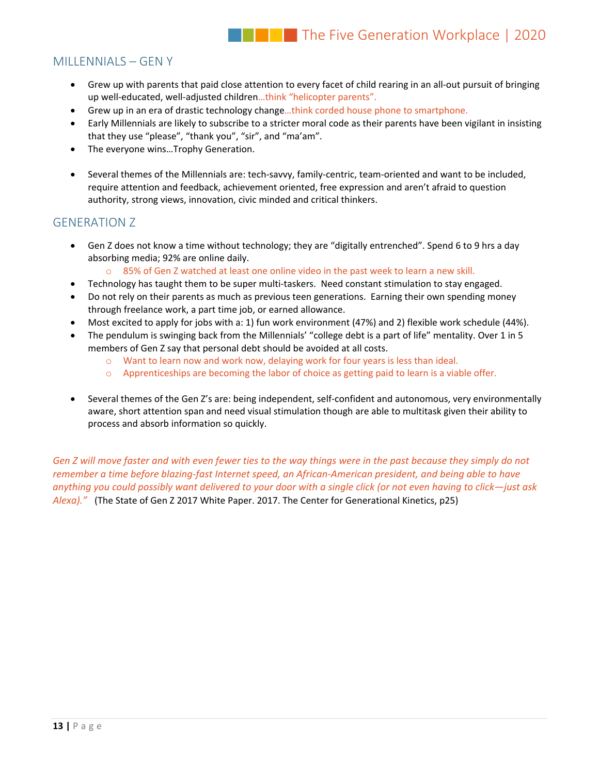#### MILLENNIALS – GEN Y

- Grew up with parents that paid close attention to every facet of child rearing in an all‐out pursuit of bringing up well-educated, well-adjusted children...think "helicopter parents".
- Grew up in an era of drastic technology change…think corded house phone to smartphone.
- Early Millennials are likely to subscribe to a stricter moral code as their parents have been vigilant in insisting that they use "please", "thank you", "sir", and "ma'am".
- The everyone wins…Trophy Generation.
- Several themes of the Millennials are: tech-savvy, family-centric, team-oriented and want to be included, require attention and feedback, achievement oriented, free expression and aren't afraid to question authority, strong views, innovation, civic minded and critical thinkers.

#### GENERATION Z

- Gen Z does not know a time without technology; they are "digitally entrenched". Spend 6 to 9 hrs a day absorbing media; 92% are online daily.
	- o 85% of Gen Z watched at least one online video in the past week to learn a new skill.
- Technology has taught them to be super multi-taskers. Need constant stimulation to stay engaged.
- Do not rely on their parents as much as previous teen generations. Earning their own spending money through freelance work, a part time job, or earned allowance.
- Most excited to apply for jobs with a: 1) fun work environment (47%) and 2) flexible work schedule (44%).
- The pendulum is swinging back from the Millennials' "college debt is a part of life" mentality. Over 1 in 5 members of Gen Z say that personal debt should be avoided at all costs.
	- o Want to learn now and work now, delaying work for four years is less than ideal.
	- $\circ$  Apprenticeships are becoming the labor of choice as getting paid to learn is a viable offer.
- Several themes of the Gen Z's are: being independent, self‐confident and autonomous, very environmentally aware, short attention span and need visual stimulation though are able to multitask given their ability to process and absorb information so quickly.

Gen Z will move faster and with even fewer ties to the way things were in the past because they simply do not remember a time before blazing-fast Internet speed, an African-American president, and being able to have anything you could possibly want delivered to your door with a single click (or not even having to click—just ask *Alexa)."* (The State of Gen Z 2017 White Paper. 2017. The Center for Generational Kinetics, p25)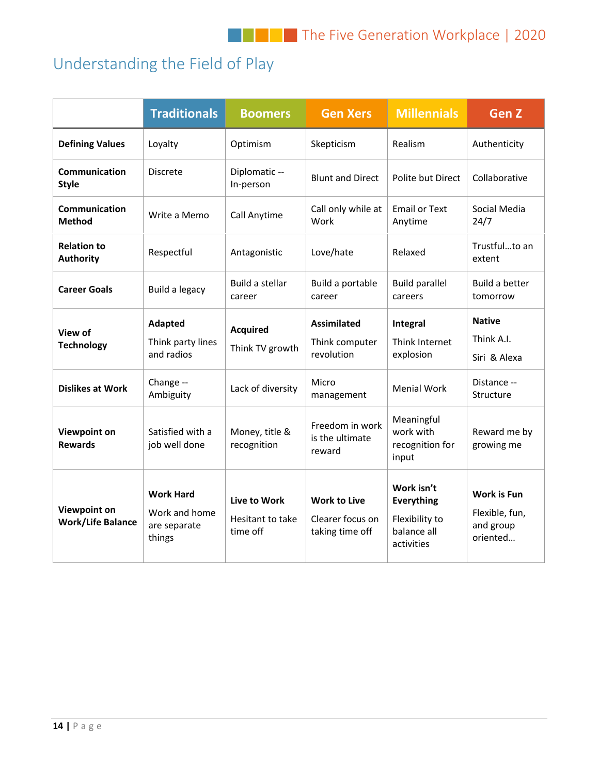# Understanding the Field of Play

|                                                 | <b>Traditionals</b>                                         | <b>Boomers</b>                               | <b>Gen Xers</b>                                            | <b>Millennials</b>                                                      | <b>Gen Z</b>                                                  |
|-------------------------------------------------|-------------------------------------------------------------|----------------------------------------------|------------------------------------------------------------|-------------------------------------------------------------------------|---------------------------------------------------------------|
| <b>Defining Values</b>                          | Loyalty                                                     | Optimism                                     | Skepticism                                                 | Realism                                                                 | Authenticity                                                  |
| Communication<br><b>Style</b>                   | <b>Discrete</b>                                             | Diplomatic --<br>In-person                   | <b>Blunt and Direct</b>                                    | Polite but Direct                                                       | Collaborative                                                 |
| Communication<br><b>Method</b>                  | Write a Memo                                                | Call Anytime                                 | Call only while at<br>Work                                 | <b>Email or Text</b><br>Anytime                                         | Social Media<br>24/7                                          |
| <b>Relation to</b><br><b>Authority</b>          | Respectful                                                  | Antagonistic                                 | Love/hate                                                  | Relaxed                                                                 | Trustfulto an<br>extent                                       |
| <b>Career Goals</b>                             | Build a legacy                                              | Build a stellar<br>career                    | Build a portable<br>career                                 | <b>Build parallel</b><br>careers                                        | Build a better<br>tomorrow                                    |
| View of<br><b>Technology</b>                    | <b>Adapted</b><br>Think party lines<br>and radios           | <b>Acquired</b><br>Think TV growth           | <b>Assimilated</b><br>Think computer<br>revolution         | Integral<br>Think Internet<br>explosion                                 | <b>Native</b><br>Think A.I.<br>Siri & Alexa                   |
| <b>Dislikes at Work</b>                         | Change --<br>Ambiguity                                      | Lack of diversity                            | Micro<br>management                                        | <b>Menial Work</b>                                                      | Distance --<br>Structure                                      |
| <b>Viewpoint on</b><br><b>Rewards</b>           | Satisfied with a<br>job well done                           | Money, title &<br>recognition                | Freedom in work<br>is the ultimate<br>reward               | Meaningful<br>work with<br>recognition for<br>input                     | Reward me by<br>growing me                                    |
| <b>Viewpoint on</b><br><b>Work/Life Balance</b> | <b>Work Hard</b><br>Work and home<br>are separate<br>things | Live to Work<br>Hesitant to take<br>time off | <b>Work to Live</b><br>Clearer focus on<br>taking time off | Work isn't<br>Everything<br>Flexibility to<br>balance all<br>activities | <b>Work is Fun</b><br>Flexible, fun,<br>and group<br>oriented |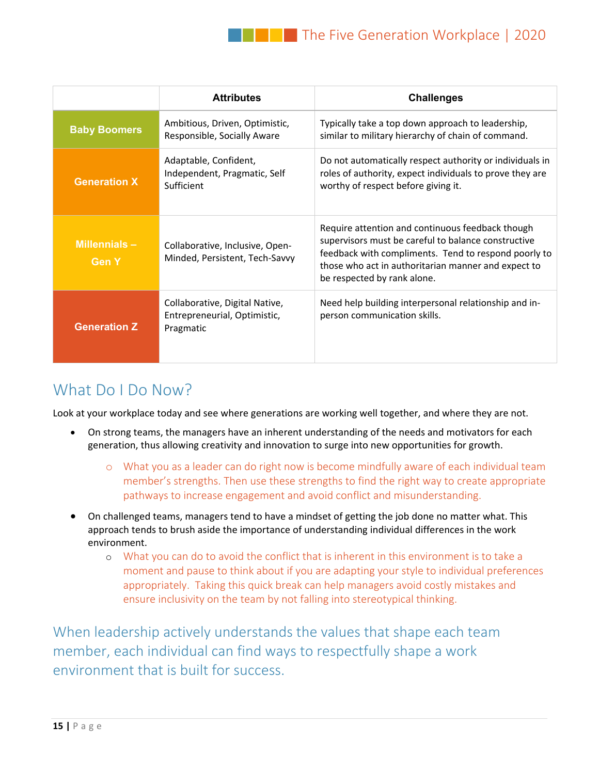|                              | <b>Attributes</b>                                                           | <b>Challenges</b>                                                                                                                                                                                                                                     |
|------------------------------|-----------------------------------------------------------------------------|-------------------------------------------------------------------------------------------------------------------------------------------------------------------------------------------------------------------------------------------------------|
| <b>Baby Boomers</b>          | Ambitious, Driven, Optimistic,<br>Responsible, Socially Aware               | Typically take a top down approach to leadership,<br>similar to military hierarchy of chain of command.                                                                                                                                               |
| <b>Generation X</b>          | Adaptable, Confident,<br>Independent, Pragmatic, Self<br>Sufficient         | Do not automatically respect authority or individuals in<br>roles of authority, expect individuals to prove they are<br>worthy of respect before giving it.                                                                                           |
| Millennials-<br><b>Gen Y</b> | Collaborative, Inclusive, Open-<br>Minded, Persistent, Tech-Savvy           | Require attention and continuous feedback though<br>supervisors must be careful to balance constructive<br>feedback with compliments. Tend to respond poorly to<br>those who act in authoritarian manner and expect to<br>be respected by rank alone. |
| <b>Generation Z</b>          | Collaborative, Digital Native,<br>Entrepreneurial, Optimistic,<br>Pragmatic | Need help building interpersonal relationship and in-<br>person communication skills.                                                                                                                                                                 |

# What Do I Do Now?

Look at your workplace today and see where generations are working well together, and where they are not.

- On strong teams, the managers have an inherent understanding of the needs and motivators for each generation, thus allowing creativity and innovation to surge into new opportunities for growth.
	- o What you as a leader can do right now is become mindfully aware of each individual team member's strengths. Then use these strengths to find the right way to create appropriate pathways to increase engagement and avoid conflict and misunderstanding.
- On challenged teams, managers tend to have a mindset of getting the job done no matter what. This approach tends to brush aside the importance of understanding individual differences in the work environment.
	- o What you can do to avoid the conflict that is inherent in this environment is to take a moment and pause to think about if you are adapting your style to individual preferences appropriately. Taking this quick break can help managers avoid costly mistakes and ensure inclusivity on the team by not falling into stereotypical thinking.

When leadership actively understands the values that shape each team member, each individual can find ways to respectfully shape a work environment that is built for success.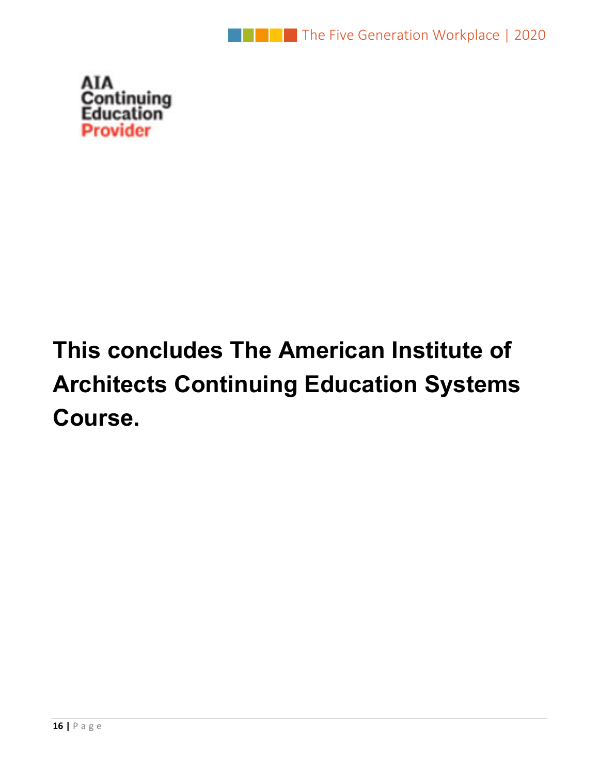



# **This concludes The American Institute of Architects Continuing Education Systems Course.**